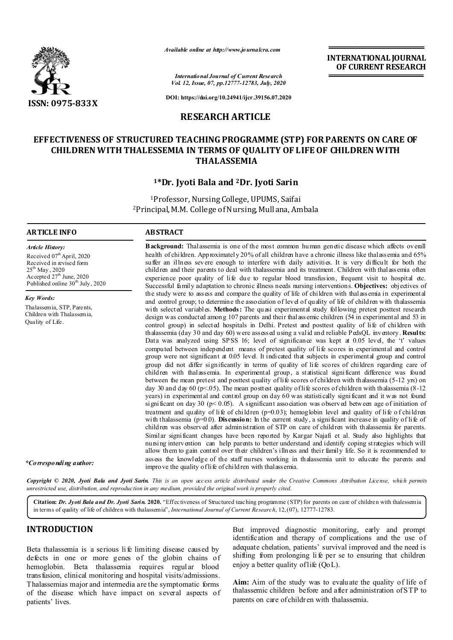

*Available online at http://www.journalcra.com*

**INTERNATIONAL JOURNAL OF CURRENT RESEARCH**

*International Journal of Current Research Vol. 12, Issue, 07, pp.12777-12783, July, 2020*

**DOI: https://doi.org/10.24941/ijcr.39156.07.2020**

## **RESEARCH ARTICLE**

# **EFFECTIVENESS OF STRUCTURED TEACHING PROGRAMME (STP) FOR PARENTS ON CARE OF CHILDREN WITH THALESSEMIA IN TERMS OF QUALITY OF LIFE OF CHILDREN WITH THALASSEMIA**

#### **1\*Dr. Jyoti Bala and 2Dr. Jyoti Sarin**

1Professor, Nursing College, UPUMS, Saifai 2Principal, M.M. College of Nursing, Mullana, Ambala

#### **ARTICLE INFO ABSTRACT**

Received  $07<sup>th</sup>$  April, 2020 Received in revised form 25<sup>th</sup> May, 2020 Accepted  $27<sup>th</sup>$  June, 2020 Published online  $30<sup>th</sup>$  July, 2020

Thalassemia, STP, Parents, Children with Thalassemia,

*Article History:*

*Key Words:*

Quality of Life.

**Background:** Thalassemia is one of the most common human genetic disease which affects overall health of children. Approximately 20% of all children have a chronic illness like thalassemia and 65% suffer an illness severe enough to interfere with daily activities. It is very difficult for both the children and their parents to deal with thalassemia and its treatment. Children with thalassemia often experience poor quality of life due to regular blood transfusion, frequent visit to hospital etc. Successful family adaptation to chronic illness needs nursing interventions. **Objectives:** objectives of the study were to assess and compare the quality of life of children with thalassemia in experimental and control group; to determine the association of level of quality of life of children with thalassemia with selected variables. Methods: The quasi experimental study following pretest posttest research design was conducted among 107 parents and their thalassemic children (54 in experimental and 53 in control group) in selected hospitals in Delhi. Pretest and posttest quality of life of children with thalassemia (day 30 and day 60) were assessed using a valid and reliable PedsQL inventory. **Results:**  Data was analyzed using SPSS 16; level of significance was kept at 0.05 level, the 't' values computed between independent means of pretest quality of life scores in experimental and control group were not significant at 0.05 level. It indicated that subjects in experimental group and control group did not differ significantly in terms of quality of life scores of children regarding care of children with thalassemia. In experimental group, a statistical significant difference was found between the mean pretest and posttest quality of life scores of children with thalassemia (5-12 yrs) on day 30 and day 60 (p<.05). The mean posttest quality of life scores of children with thalassemia (8-12) years) in experimental and control group on day 60 was statistically significant and it was not found significant on day 30 ( $p < 0.05$ ). A significant association was observed between age of initiation of treatment and quality of life of children (p=0.03); hemoglobin level and quality of life o f children with thalassemia (p=0.0). **Discussion:** In the current study, a significant increase in quality of life of children was observed after administration of STP on care of children with thalassemia for parents. Similar significant changes have been reported by Kargar Najafi et al. Study also highlights that nursing intervention can help parents to better understand and identify coping strategies which will allow them to gain control over their children's illness and their family life. So it is recommended to assess the knowledge of the staff nurses working in thalassemia unit to educate the parents and improve the quality of life of children with thalassemia.

Copyright © 2020, Jyoti Bala and Jyoti Sarin. This is an open access article distributed under the Creative Commons Attribution License, which permits *unrestricted use, distribution, and reproduction in any medium, provided the original work is properly cited.*

**Citation:** *Dr. Jyoti Bala and Dr. Jyoti Sarin.* **2020.** "Effectiveness of Structured teaching programme (STP) for parents on care of children with thalessemia in terms of quality of life of children with thalassemia", *International Journal of Current Research*, 12,(07), 12777-12783.

# **INTRODUCTION**

*\*Corresponding author:*

Beta thalassemia is a serious li fe limiting disease caused by defects in one or more genes of the globin chains of hemoglobin. Beta thalassemia requires regular blood transfusion, clinical monitoring and hospital visits/admissions. Thalassemias major and intermedia are the symptomatic forms of the disease which have impact on several aspects of patients' lives.

But improved diagnostic monitoring, early and prompt identification and therapy of complications and the use of adequate chelation, patients' survival improved and the need is shifting from prolonging li fe per se to ensuring that children enjoy a better quality of life (QoL).

**Aim:** Aim of the study was to evaluate the quality of life of thalassemic children before and after administration of STP to parents on care of children with thalassemia.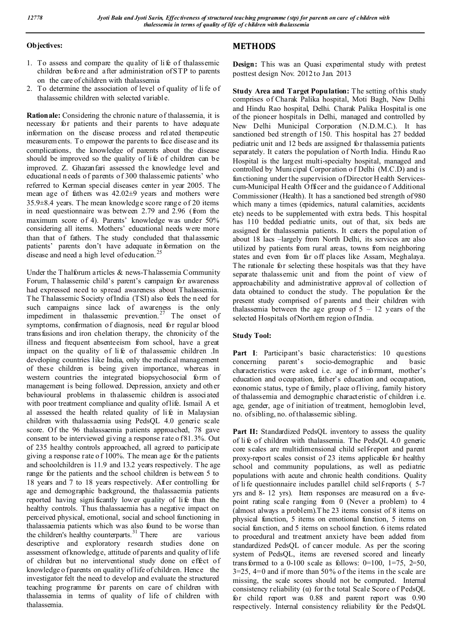### **Objectives:**

- 1. To assess and compare the quality of li fe of thalassemic children before and after administration of STP to parents on the care of children with thalassemia
- 2. To determine the association of level of quality of li fe of thalassemic children with selected variable.

**Rationale:** Considering the chronic n ature of thalassemia, it is necessary for patients and their parents to have adequate information on the disease process and related therapeutic measurements. To empower the parents to face disease and its complications, the knowledge of parents about the disease should be improved so the quality of li fe of children can be improved. Z. Ghazanfari assessed the knowledge level and educational n eeds of parents of 300 thalassemic patients' who referred to Kerman special diseases center in year 2005. The mean age of fathers was 42.02±9 years and mothers were 35.9±8.4 years. The mean knowledge score range of 20 items in need questionnaire was between 2.79 and 2.96 (from the maximum score of 4). Parents' knowledge was under 50% considering all items. Mothers' educational needs were more than that of fathers. The study concluded that thalassemic patients' parents don't have adequate information on the disease and need a high level of education.<sup>25</sup>

Under the T halforum articles & news-Thalassemia Community Forum, T halassemic child's parent's campaign for awareness had expressed need to spread awareness about Thalassemia. The Thalassemic Society of India (TSI) also feels the n eed for such campaigns since lack of awareness is the only impediment in thalassemic prevention.<sup> $27$ </sup> The onset of symptoms, confirmation of diagnosis, need for regular blood transfusions and iron chelation therapy, the chronicity of the illness and frequent absenteeism from school, have a great impact on the quality of life of thalassemic children .In developing countries like India, only the medical management of these children is being given importance, whereas in western countries the integrated biopsychosocial form of management is being followed. Depression, anxiety and oth er behavioural problems in thalassemic children is associated with poor treatment compliance and quality of life. Ismail A et al assessed the health related quality of life in Malaysian children with thalassaemia using PedsQL 4.0 generic scale score. Of the 96 thalassaemia patients approached, 78 gave consent to be interviewed giving a response rate o f 81.3%. Out of 235 healthy controls approached, all agreed to participate giving a response rate o f 100%. The mean age for th e patients and schoolchildren is 11.9 and 13.2 years respectively. T he age range for the patients and the school children is between 5 to 18 years and 7 to 18 years respectively. After controlling for age and demographic background, the thalassaemia patients reported having signi ficantly lower quality of li fe than the healthy controls. Thus thalassaemia has a negative impact on perceived physical, emotional, social and school functioning in thalassaemia patients which was also found to be worse than the children's healthy counterparts.<sup>31</sup> There are various descriptive and exploratory research studies done on assessment of knowledge, attitude of parents and quality of life of children but no interventional study done on effect of knowledge o f parents on quality of life of children. Hence the investigator felt the need to develop and evaluate the structured teaching programme for parents on care of children with thalassemia in terms of quality of life of children with thalassemia.

# **METHODS**

**Design:** This was an Quasi experimental study with pretest posttest design Nov. 2012 to Jan. 2013

**Study Area and Target Population:** The setting of this study comprises of Charak Palika hospital, Moti Bagh, New Delhi and Hindu Rao hospital, Delhi. Charak Palika Hospital is one of the pioneer hospitals in Delhi, managed and controlled by New Delhi Municipal Corporation (N.D.M.C.). It has sanctioned bed strength of 150. This hospital has 27 bedded pediatric unit and 12 beds are assigned for thalassemia patients separately. It caters the population of North India. Hindu Rao Hospital is the largest multi-specialty hospital, managed and controlled by Muni cipal Corporation o f Delhi (M.C.D) and is functioning under the supervision of Director H ealth Servicescum-Municipal Health Officer and the guidance o f Additional Commissioner (Health). It has a sanctioned bed strength of 980 which many a times (epidemics, natural calamities, accidents etc) needs to be supplemented with extra beds. This hospital has 110 bedded pediatric units, out of that, six beds are assigned for thalassemia patients. It caters the population of about 18 lacs –largely from North Delhi, its services are also utilized by patients from rural areas, towns from neighboring states and even from far off places like Assam, Meghalaya. The rationale for selecting these hospitals was that they have separate thalassemic unit and from the point of view of approachability and administrative approval of collection of data obtained to conduct the study. The population for the present study comprised of parents and their children with thalassemia between the age group of  $5 - 12$  years of the selected Hospitals of Northern region o fIndia.

## **Study Tool:**

**Part I**: Participant's basic characteristics: 10 questions concerning parent's socio-demographic and basic characteristics were asked i.e. age of informant, mother's education and occupation, father's education and occupation, economic status, type of family, place of living, family history of thalassemia and demographic characteristic of children i.e. age, gender, age of initiation of treatment, hemoglobin level, no. of sibling, no. of thalassemic sibling.

Part II: Standardized PedsQL inventory to assess the quality of li fe of children with thalassemia. The PedsQL 4.0 generic core scales are multidimensional child self-report and parent proxy-report scales consist of 23 items applicable for healthy school and community populations, as well as pediatric populations with acute and chronic health conditions. Quality of li fe questionnaire includes parallel child self-reports ( 5-7 yrs and 8- 12 yrs). Item responses are measured on a fivepoint rating scale ranging from 0 (Never a problem) to 4 (almost always a problem).T he 23 items consist of 8 items on physical function, 5 items on emotional function, 5 items on social function, and 5 items on school function. 6 items related to procedural and treatment anxiety have been added from standardized PedsQL of cancer module. As per the scoring system of PedsQL, items are reversed scored and linearly transformed to a 0-100 scale as follows:  $0=100$ ,  $1=75$ ,  $2=50$ ,  $3=25$ ,  $4=0$  and if more than 50% of the items in the scale are missing, the scale scores should not be computed. Internal consistency reliability (α) for the total Scale Score of PedsQL for child report was 0.88 and parent report was 0.90 respectively. Internal consistency reliability for the PedsQL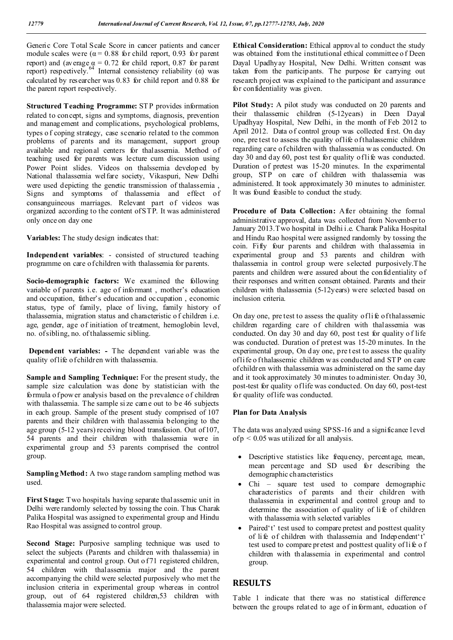Generic Core Total Scale Score in cancer patients and cancer module scales were ( $\alpha$  = 0.88 for child report, 0.93 for parent report) and (average  $\alpha = 0.72$  for child report, 0.87 for parent report) respectively.<sup>64</sup> Internal consistency reliability ( $\alpha$ ) was calculated by researcher was 0.83 for child report and 0.88 for the parent report respectively.

**Structured Teaching Programme:** STP provides information related to concept, signs and symptoms, diagnosis, prevention and management and complications, psychological problems, types o f coping strategy, case scenario related to the common problems of parents and its management, support group available and regional centers for thalassemia. Method of teaching used for parents was lecture cum discussion using Power Point slides. Videos on thalssemia developed by National thalassemia welfare society, Vikaspuri, New Delhi were used depicting the genetic transmission of thalassemia , Signs and symptoms of thalassemia and effect of consanguineous marriages. Relevant part of videos was organized according to the content of STP. It was administered only once on day one

**Variables:** The study design indicates that:

**Independent variables**: - consisted of structured teaching programme on care of children with thalassemia for parents.

**Socio-demographic factors:** We examined the following variable of parents i.e. age of informant , mother's education and occupation, father's education and occupation , economic status, type of family, place of living, family history of thalassemia, migration status and characteristic o f children i.e. age, gender, age of initiation of treatment, hemoglobin level, no. of sibling, no. of thalassemic sibling.

**Dependent variables: -** The dependent variable was the quality of life of children with thalassemia.

**Sample and Sampling Technique:** For the present study, the sample size calculation was done by statistician with the formula of pow er analysis based on the p revalence of children with thalassemia. The sample si ze came out to be 46 subjects in each group. Sample of the present study comprised of 107 parents and their children with thalassemia belonging to the age group (5-12 years) receiving blood transfusion. Out of 107, 54 parents and their children with thalassemia were in experimental group and 53 parents comprised the control group.

**Sampling Method:** A two stage random sampling method was used.

**First Stage:** Two hospitals having separate thal assemic unit in Delhi were randomly selected by tossing the coin. Thus Charak Palika Hospital was assigned to experimental group and Hindu Rao Hospital was assigned to control group.

**Second Stage:** Purposive sampling technique was used to select the subjects (Parents and children with thalassemia) in experimental and control group. Out of 71 registered children, 54 children with thalassemia major and the parent accompanying the child were selected purposively who met the inclusion criteria in experimental group whereas in control group, out of 64 registered children,53 children with thalassemia major were selected.

**Ethical Consideration:** Ethical approval to conduct the study was obtained from the institutional ethical committee o f Deen Dayal Upadhyay Hospital, New Delhi. Written consent was taken from the participants. The purpose for carrying out research project was explained to the participant and assurance for confidentiality was given.

Pilot Study: A pilot study was conducted on 20 parents and their thalassemic children (5-12years) in Deen Dayal Upadhyay Hospital, New Delhi, in the month of Feb 2012 to April 2012. Data o f control group was collected first. On day one, pre test to assess the quality of life of thalassemic children regarding care of children with thalassemia w as conducted. On day 30 and day 60, post test for quality of life was conducted. Duration of pretest was 15-20 minutes. In the experimental group, STP on care of children with thalassemia was administered. It took approximately 30 minutes to administer. It was found feasible to conduct the study.

Procedure of Data Collection: After obtaining the formal administrative approval, data was collected from November to January 2013.Two hospital in Delhi i.e. Charak Palika Hospital and Hindu Rao hospital were assigned randomly by tossing the coin. Fifty four parents and children with thalassemia in experimental group and 53 parents and children with thalassemia in control group were selected purposively.The parents and children were assured about the confidentiality of their responses and written consent obtained. Parents and their children with thalassemia (5-12years) were selected based on inclusion criteria.

On day one, pre test to assess the quality of life of thalassemic children regarding care of children with thalassemia was conducted. On day 30 and day 60, post test for quality o f life was conducted. Duration of pretest was 15-20 minutes. In the experimental group, On day one, pre t est to assess the quality of life o f thalassemic children w as conducted and ST P on care of children with thalassemia was administered on the same day and it took approximately 30 minutes to administer. On day 30, post-test for quality of life was conducted. On day 60, post-test for quality of life was conducted.

#### **Plan for Data Analysis**

The data was analyzed using SPSS-16 and a significance level of  $p < 0.05$  was utilized for all analysis.

- Descriptive statistics like frequency, percentage, mean, mean percentage and SD used for describing the demographic characteristics
- Chi square test used to compare demographic characteristics of parents and their children with thalassemia in experimental and control group and to determine the association of quality of li fe of children with thalassemia with selected variables
- Paired't' test used to compare pretest and posttest quality of li fe of children with thalassemia and Independent't' test used to compare pretest and posttest quality of life of children with thalassemia in experimental and control group.

# **RESULTS**

Table 1 indicate that there was no statistical difference between the groups related to age of informant, education of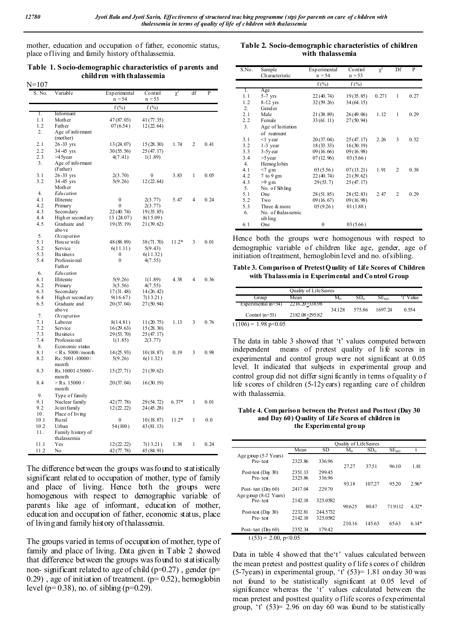mother, education and occupation of father, economic status, place of living and family history of thalassemia.

**Table 1. Socio-demographic characteristics of parents and children with thalassemia**

| $N = 107$       |                           |                          |                     |         |    |      |
|-----------------|---------------------------|--------------------------|---------------------|---------|----|------|
| S. No.          | Variable                  | Experimental<br>$n = 54$ | Control<br>$n = 53$ | χ       | df | P    |
|                 |                           | $f(\%)$                  | $f(\%)$             |         |    |      |
| Ι.              | Informant                 |                          |                     |         |    |      |
| 1.1             | Mother                    | 47 (87.03)               | 41 (77.35)          |         |    |      |
| 1.2             | Father                    | 07(6.54)                 | 12(22.64)           |         |    |      |
| 2.              | Age of informant          |                          |                     |         |    |      |
|                 | (mother)                  |                          |                     |         |    |      |
| 2.1             | 26-33 yrs                 | 13 (24.07)               | 15 (28.30)          | 1.74    | 2  | 0.41 |
| 2.2             | 34-45 yrs                 | 30(55.56)                | 25(47.17)           |         |    |      |
| 2.3             | >45year                   | 4(7.41)                  | 1(1.89)             |         |    |      |
| 3.              | Age of informant          |                          |                     |         |    |      |
|                 | (Father)                  |                          |                     |         |    |      |
| 3.1             | 26-33 yrs                 | 2(3.70)                  | 0                   | 3.83    | 1  | 0.05 |
| 3.2             | 34 - 45 yrs               | 5(9.26)                  | 12(22.64)           |         |    |      |
| 4.              | Mother                    |                          |                     |         |    |      |
| 4.1             | Edu cation<br>Illiterate  | 0                        | 2(3.77)             | 5.47    | 4  | 0.24 |
| 4.2             | Primary                   | 0                        | 2(3.77)             |         |    |      |
| 4.3             | Secon dary                | 22(40.74)                | 19(35.85)           |         |    |      |
| 4.4             | High er second ary        | 13 (24.07)               | 8(15.09)            |         |    |      |
| 4.5             | Graduate and              | 19(35.19)                | 21 (39.62)          |         |    |      |
|                 | abo ve                    |                          |                     |         |    |      |
| 5.              | Occupation                |                          |                     |         |    |      |
| 5.1             | Hou se wife               | 48 (88.89)               | 38 (71.70)          | $11.2*$ | 3  | 0.01 |
| 5.2             | Service                   | 6(11.11)                 | 5(9.43)             |         |    |      |
| 5.3             | <b>Business</b>           | 0                        | 6(11.32)            |         |    |      |
| 5.4             | Professional              | $\bf{0}$                 | 4(7.55)             |         |    |      |
|                 | Father                    |                          |                     |         |    |      |
| 6.              | <b>Education</b>          |                          |                     |         |    |      |
| 6.1             | Illiterate                | 5(9.26)                  | 1(1.89)             | 4.38    | 4  | 0.36 |
| 6.2             | Primary                   | 3(5.56)                  | 4(7.55)             |         |    |      |
| 6.3             | Secon dary                | 17(31.48)                | 14 (26.42)          |         |    |      |
| 6.4             | High er second ary        | 9(16.67)                 | 7(13.21)            |         |    |      |
| 6.5             | Graduate and              | 20(37.04)                | 27(50.94)           |         |    |      |
|                 | abo ve                    |                          |                     |         |    |      |
| 7.              | Occupation                |                          |                     |         |    |      |
| 7.1             | Laborer                   | 8(14.81)                 | 11(20.75)           | 1.13    | 3  | 0.76 |
| 7.2             | Service                   | 16(29.63)                | 15(28.30)           |         |    |      |
| 7.3             | <b>Bu</b> sines s         | 29(53.70)                | 25(47.17)           |         |    |      |
| 7.4             | Professional              | 1(1.85)                  | 2(3.77)             |         |    |      |
| 8.              | Economic status           |                          |                     |         |    |      |
| 8.1             | $<$ Rs. 5000/month        | 14(25.93)                | 10(18.87)           | 0.19    | 3  | 0.98 |
| 8.2             | Rs. 5001-10000/           | 5(9.26)                  | 6(11.32)            |         |    |      |
| 8.3             | month<br>Rs.10001-15000/- |                          |                     |         |    |      |
|                 | month                     | 15(27.71)                | 21(39.62)           |         |    |      |
| 8.4             | $>$ Rs. 15000 /           | 20(37.04)                | 16(30.19)           |         |    |      |
|                 | month                     |                          |                     |         |    |      |
| 9.              | Type of family            |                          |                     |         |    |      |
| 9.1             | Nuclear family            |                          | 29 (54.72)          | $6.37*$ | 1  | 0.01 |
| 9.2             | Jo int family             | 42(77.78)<br>12(22.22)   | 24 (45.28)          |         |    |      |
| 10.             | Place of living           |                          |                     |         |    |      |
| 10.1            | Rural                     | 0                        | 10(18.87)           | $11.2*$ | 1  | 0.0  |
| 10 <sub>2</sub> | Urban                     | 54 (100)                 | 43 (81.13)          |         |    |      |
| 11.             | Family history of         |                          |                     |         |    |      |
|                 | thalassemia               |                          |                     |         |    |      |
| 11.1            | Yes                       | 12(22.22)                | 7(13.21)            | 1.38    | 1  | 0.24 |
| 11 2            | No                        | 42(77.78)                | 45 (84.91)          |         |    |      |
|                 |                           |                          |                     |         |    |      |

The difference between the groups was found to statistically significant related to occupation of mother, type of family and place of living. Hence both the groups were homogenous with respect to demographic variable of parents like age of informant, education of mother, education and occupation of father, economic status, place of living and family history of thalassemia.

The groups varied in terms of occupation of mother, type of family and place of living. Data given in Table 2 showed that difference between the groups was found to statistically non- significant related to age of child ( $p=0.27$ ), gender ( $p=$  $(0.29)$ , age of initiation of treatment.  $(p= 0.52)$ , hemoglobin level ( $p= 0.38$ ), no. of sibling ( $p=0.29$ ).

**Table 2. Socio-demographic characteristics of children with thalassemia**

| S.No. | Sample              | Experimental<br>Control |           | $\chi^2$ | Df             | P    |
|-------|---------------------|-------------------------|-----------|----------|----------------|------|
|       | Characteristic      | $n = 54$                | $n = 53$  |          |                |      |
|       |                     | $f(\%)$                 | $f(\%)$   |          |                |      |
| 1.    | Age                 |                         |           |          |                |      |
| 1.1   | $5-7$ yrs           | 22(40.74)               | 19(35.85) | 0.271    | 1              | 0.27 |
| 1.2   | 8-12 yrs            | 32(59.26)               | 34(64.15) |          |                |      |
| 2.    | Gender              |                         |           |          |                |      |
| 2.1   | Male                | 21(38.89)               | 26(49.06) | 1.12     | 1              | 0.29 |
| 2.2   | Female              | 33(61.11)               | 27(50.94) |          |                |      |
| 3.    | Age of Initiation   |                         |           |          |                |      |
|       | of reatment         |                         |           |          |                |      |
| 3.1   | $\leq$ 1 year       | 20(37.04)               | 25(47.17) | 2.26     | 3              | 0.52 |
| 3.2   | $1-3$ year          | 18(33.33)               | 16(30.19) |          |                |      |
| 3.3   | $3-5y$ ear          | 09(16.66)               | 09(16.98) |          |                |      |
| 3.4   | $>5$ year           | 07(12.96)               | 03(5.66)  |          |                |      |
| 4.    | Hemog lobin         |                         |           |          |                |      |
| 4.1   | $<7$ gm             | 03(5.56)                | 07(13.21) | 1.91     | 2              | 0.38 |
| 4.2   | $7$ to $9$ gm       | 22(40.74)               | 21(39.62) |          |                |      |
| 4.3   | $>9$ gm             | 29(53.7)                | 25(47.17) |          |                |      |
| 5.    | No. of Sibling      |                         |           |          |                |      |
| 5.1   | One                 | 28(51.85)               | 28(52.83) | 2.47     | $\overline{2}$ | 0.29 |
| 5.2   | Two                 | 09(16.67)               | 09(16.98) |          |                |      |
| 5.3   | Three & more        | 05(9.26)                | 01(1.88)  |          |                |      |
| 6.    | No. of thalas semic |                         |           |          |                |      |
|       | sib ling            |                         |           |          |                |      |
| 6.1   | One                 | $\mathbf{0}$            | 03(5.66)  |          |                |      |

Hence both the groups were homogenous with respect to demographic variable of children like age, gender, age of initiation of treatment, hemoglobin level and no. of sibling.

**Table 3. Comparison of Pretest Quality of Life Scores of Children with Thalassemia in Experimental and Control Group**

|                         | Quality of LifeScores |           |                 |                  |           |  |
|-------------------------|-----------------------|-----------|-----------------|------------------|-----------|--|
| Group                   | Mean                  | $\rm M_n$ | SD <sub>n</sub> | SE <sub>MD</sub> | 't' Value |  |
| Experimental $(n=54)$   | 2216.20+558.98        | 34.128    | 575.86          | 1697 24          | 0.554     |  |
| Control $(n=53)$        | 2182.08+295.82        |           |                 |                  |           |  |
| t (106) = 1.98 p < 0.05 |                       |           |                 |                  |           |  |

The data in table 3 showed that 't' values computed between independent means of pretest quality of life scores in experimental and control group were not significant at 0.05 level. It indicated that subjects in experimental group and control group did not differ signi ficantly in terms of quality o f life scores of children (5-12years) regarding care of children with thalassemia.

**Table 4. Comparison between the Pretest and Posttest (Day 30 and Day 60) Quality of Life Scores of children in the Experimental group**

|                          |         |          | Quality of LifeScores |                 |                  |         |
|--------------------------|---------|----------|-----------------------|-----------------|------------------|---------|
|                          | Mean    | SD       | $M_{D}$               | SD <sub>n</sub> | SE <sub>MD</sub> |         |
| Age group (5-7 Years)    |         |          |                       |                 |                  |         |
| Pre-test                 | 2323.86 | 336.96   |                       |                 |                  |         |
|                          |         |          | 27.27                 | 37.51           | 96.10            | 1.81    |
| Post-test $(Day 30)$     | 2351.13 | 299.45   |                       |                 |                  |         |
| Pre-test                 | 2323.86 | 336.96   |                       |                 |                  |         |
|                          |         |          | 93.18                 | 107.27          | 95.20            | $2.96*$ |
| Post-test $(Day 60)$     | 2417.04 | 229.70   |                       |                 |                  |         |
| Age group $(8-12$ Years) |         |          |                       |                 |                  |         |
| Pre-test                 | 2142.18 | 325.0582 |                       |                 |                  |         |
|                          |         |          | 90.625                | 80.47           | 71.9112          | $4.32*$ |
| Post-test $(Day 30)$     | 2232.81 | 244.5732 |                       |                 |                  |         |
| Pre-test                 | 2142.18 | 325.0582 |                       |                 |                  |         |
|                          |         |          | 210.16                | 145.63          | 65.63            | $6.14*$ |
| Post-test $(Day 60)$     | 2352.34 | 179.42   |                       |                 |                  |         |
| $t(53) = 2.00, p<0.05$   |         |          |                       |                 |                  |         |

Data in table 4 showed that the't' values calculated between the mean pretest and posttest quality o f life s cores of children (5-7years) in experimental group,  $\dot{t}$  (53)= 1.81 on day 30 was not found to be statistically significant at 0.05 level of significance whereas the 't' values calculated between the mean pretest and posttest quality o flife scores o f experimental group, 't'  $(53)$ = 2.96 on day 60 was found to be statistically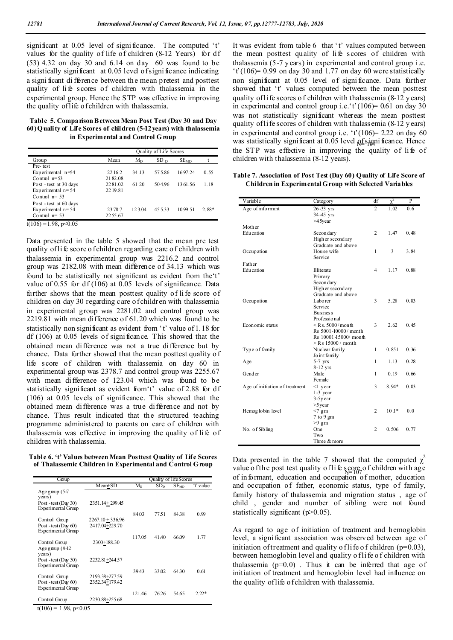significant at 0.05 level of signi ficance. The computed 't' values for the quality of life of children (8-12 Years) for df (53) 4.32 on day 30 and 6.14 on day 60 was found to be statistically significant at 0.05 level of signi ficance indicating a signi ficant di fference between th e mean pretest and posttest quality of li fe scores of children with thalassemia in the experimental group. Hence the STP was effective in improving the quality of life of children with thalassemia.

**Table 5. Comparison Between Mean Post Test (Day 30 and Day 60) Quality of Life Scores of children (5-12years) with thalassemia in Experimental and Control G roup** 

|                        | Quality of Life Scores |         |                 |                  |         |  |
|------------------------|------------------------|---------|-----------------|------------------|---------|--|
| Group                  | Mean                   | $M_{D}$ | SD <sub>D</sub> | SE <sub>MD</sub> |         |  |
| Pre-test               |                        |         |                 |                  |         |  |
| Experimental $n=54$    | 22 16.2                | 34.13   | 575.86          | 1697.24          | 0.55    |  |
| Control $n=53$         | 2182.08                |         |                 |                  |         |  |
| Post - test at 30 days | 2281.02                | 61.20   | 504.96          | 1361.56          | 1.18    |  |
| Experimental $n=54$    | 22 19.81               |         |                 |                  |         |  |
| Control $n=53$         |                        |         |                 |                  |         |  |
| Post - test at 60 days |                        |         |                 |                  |         |  |
| Experimental $n=54$    | 23 78.7                | 123.04  | 45533           | 1099.51          | $2.88*$ |  |
| Control $n=53$         | 22 55.67               |         |                 |                  |         |  |

 $t(106) = 1.98$ , p<0.05

Data presented in the table 5 showed that the mean pre test quality of life score o f children regarding care of children with thalassemia in experimental group was 2216.2 and control group was 2182.08 with mean difference of 34.13 which was found to be statistically not significant as evident from the't' value of 0.55 for df (106) at 0.05 levels of significance. Data further shows that the mean posttest quality of li fe score of children on day 30 regarding care o f children with thalassemia in experimental group was 2281.02 and control group was 2219.81 with mean difference of 61.20 which was found to be statistically non significant as evident from 't' value of 1.18 for df (106) at 0.05 levels of signi ficance. This showed that the obtained mean difference was not a true difference but by chance. Data further showed that the mean posttest quality o f life score of children with thalassemia on day 60 in experimental group was 2378.7 and control group was 2255.67 with mean difference of 123.04 which was found to be statistically significant as evident from't' value of 2.88 for df (106) at 0.05 levels of significance. This showed that the obtained mean difference was a true difference and not by chance. Thus result indicated that the structured teaching programme administered to parents on care of children with thalassemia was effective in improving the quality of li fe of children with thalassemia.

**Table 6. 't' Values between Mean Posttest Quality of Life Scores of Thalassemic Children in Experimental and Control Group**

| Group                                         |                                  |         |                 | Quality of lifeScores |           |
|-----------------------------------------------|----------------------------------|---------|-----------------|-----------------------|-----------|
|                                               | Mean+SD                          | $M_{D}$ | SD <sub>n</sub> | $SE$ <sub>MD</sub>    | 't' value |
| Age group $(5-7)$<br>years)                   |                                  |         |                 |                       |           |
| Post - test (Day 30)<br>Experimental Group    | $2351.14 + 299.45$               |         |                 |                       |           |
| Control Group                                 | $2267.10 + 336.96$               | 84.03   | 77.51           | 8438                  | 0.99      |
| Post-test (Day $60$ )<br>Experimental Group   | 2417.04+229.70                   |         |                 |                       |           |
|                                               |                                  | 117.05  | 41.40           | 66.09                 | 1.77      |
| Control Group<br>Age group $(8-12)$<br>years) | 2300+188.30                      |         |                 |                       |           |
| Post - test (Day 30)<br>Experimental Group    | 2232.81+244.57                   |         |                 |                       |           |
|                                               |                                  | 39.43   | 33.02           | 64.30                 | 0.61      |
| Control Group<br>Post-test (Day $60$ )        | 2193.38+277.59<br>2352.34+179.42 |         |                 |                       |           |
| Experimental Group                            |                                  | 121.46  | 76.26           | 54.65                 | $2.22*$   |
| Control Group                                 | 2230.88+255.68                   |         |                 |                       |           |

 $t(106) = 1.98$ , p<0.05

was statistically significant at 0.05 level  $\frac{1}{10}$  significance. Hence It was evident from table 6 that 't' values computed between the mean posttest quality of li fe scores of children with thalassemia (5-7 y ears) in experimental and control group i.e.  $'t'(106) = 0.99$  on day 30 and 1.77 on day 60 were statistically non significant at 0.05 level of signi ficance. Data further showed that 't' values computed between the mean posttest quality of life scores o f children with thalassemia (8-12 y ears) in experimental and control group i.e.'t'( $106$ ) = 0.61 on day 30 was not statistically significant whereas the mean posttest quality of life scores of children with thalassemia (8-12 years) in experimental and control group i.e.  $\dot{t}$  (106) = 2.22 on day 60 the STP was effective in improving the quality of life of children with thalassemia (8-12 years).

#### **Table 7. Association of Post Test (Day 60) Quality of Life Score of Children in Experimental Group with Selected Variables**

| Category              | df                                                                                                                                                                                                                               | $\gamma^2$                                              | P                                        |
|-----------------------|----------------------------------------------------------------------------------------------------------------------------------------------------------------------------------------------------------------------------------|---------------------------------------------------------|------------------------------------------|
| 26-33 yrs             | 2                                                                                                                                                                                                                                | 1.02                                                    | 0.6                                      |
|                       |                                                                                                                                                                                                                                  |                                                         |                                          |
|                       |                                                                                                                                                                                                                                  |                                                         |                                          |
|                       |                                                                                                                                                                                                                                  |                                                         |                                          |
|                       |                                                                                                                                                                                                                                  |                                                         | 0.48                                     |
|                       |                                                                                                                                                                                                                                  |                                                         |                                          |
|                       |                                                                                                                                                                                                                                  |                                                         |                                          |
|                       |                                                                                                                                                                                                                                  |                                                         | 3.84                                     |
|                       |                                                                                                                                                                                                                                  |                                                         |                                          |
|                       |                                                                                                                                                                                                                                  |                                                         |                                          |
| Illiterate            | $\overline{4}$                                                                                                                                                                                                                   | 1.17                                                    | 0.88                                     |
| Primary               |                                                                                                                                                                                                                                  |                                                         |                                          |
| Secon dary            |                                                                                                                                                                                                                                  |                                                         |                                          |
| High er second ary    |                                                                                                                                                                                                                                  |                                                         |                                          |
| Graduate and above    |                                                                                                                                                                                                                                  |                                                         |                                          |
| Laborer               | 3                                                                                                                                                                                                                                | 5.28                                                    | 0.83                                     |
| Service               |                                                                                                                                                                                                                                  |                                                         |                                          |
| <b>Business</b>       |                                                                                                                                                                                                                                  |                                                         |                                          |
| Professional          |                                                                                                                                                                                                                                  |                                                         |                                          |
| $\le$ Rs. 5000/month  | 3                                                                                                                                                                                                                                | 2.62                                                    | 0.45                                     |
| Rs 5001-10000/month   |                                                                                                                                                                                                                                  |                                                         |                                          |
| Rs 10001-15000/ month |                                                                                                                                                                                                                                  |                                                         |                                          |
| $>$ R s 15000 / month |                                                                                                                                                                                                                                  |                                                         |                                          |
| Nuclear family        | 1                                                                                                                                                                                                                                | 0.851                                                   | 0.36                                     |
| Jo int family         |                                                                                                                                                                                                                                  |                                                         |                                          |
| $5-7$ yrs             | 1                                                                                                                                                                                                                                | 1.13                                                    | 0.28                                     |
|                       |                                                                                                                                                                                                                                  |                                                         |                                          |
| Male                  | 1                                                                                                                                                                                                                                | 0.19                                                    | 0.66                                     |
| Female                |                                                                                                                                                                                                                                  |                                                         |                                          |
|                       | 3                                                                                                                                                                                                                                |                                                         | 0.03                                     |
|                       |                                                                                                                                                                                                                                  |                                                         |                                          |
|                       |                                                                                                                                                                                                                                  |                                                         |                                          |
|                       |                                                                                                                                                                                                                                  |                                                         |                                          |
|                       |                                                                                                                                                                                                                                  |                                                         | 0.0                                      |
|                       |                                                                                                                                                                                                                                  |                                                         |                                          |
|                       |                                                                                                                                                                                                                                  |                                                         |                                          |
|                       |                                                                                                                                                                                                                                  |                                                         | 0.77                                     |
| Two                   |                                                                                                                                                                                                                                  |                                                         |                                          |
| Three & more          |                                                                                                                                                                                                                                  |                                                         |                                          |
|                       | 34 - 45 yrs<br>>45year<br>Secon dary<br>High er second ary<br>Graduate and above<br>Hou se wife<br>Service<br>$8-12$ yrs<br>$\leq$ 1 year<br>$1-3$ year<br>$3-5y$ ear<br>$>5$ year<br>$<7$ gm<br>$7$ to $9$ gm<br>$>9$ gm<br>One | $\overline{c}$<br>1<br>$\overline{2}$<br>$\overline{c}$ | 1.47<br>3<br>$8.94*$<br>$10.1*$<br>0.506 |

value o f the post test quality of life score of children with age Data presented in the table 7 showed that the computed  $\chi^2$ of informant, education and occupation of mother, education and occupation of father, economic status, type of family, family history of thalassemia and migration status , age of child , gender and number of sibling were not found statistically significant (p>0.05).

As regard to age of initiation of treatment and hemoglobin level, a signi ficant association was observed between age of initiation of treatment and quality of life of children ( $p=0.03$ ), between hemoglobin level and quality o flife of children with thalassemia  $(p=0.0)$ . Thus it can be inferred that age of initiation of treatment and hemoglobin level had influence on the quality of life of children with thalassemia.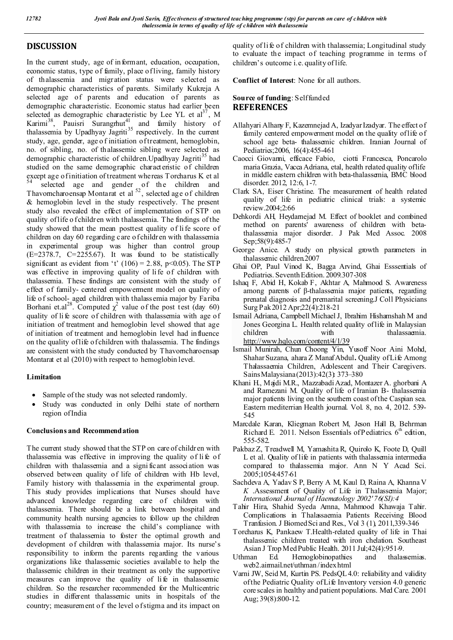# **DISCUSSION**

In the current study, age of informant, education, occupation, economic status, type of family, place of living, family history of thalassemia and migration status were selected as demographic characteristics of parents. Similarly Kukreja A selected age of parents and education of parents as demographic characteristic. Economic status had earlier been selected as demographic characteristic by Lee YL et  $a^{37}$ , M Karimi<sup>38</sup>, Pauisri Surangrhut<sup>41</sup>, and family history of thalassemia by Upadhyay Jagriti<sup>35</sup> respectively. In the current study, age, gender, age o f initiation of treatment, hemoglobin, no. of sibling, no. of thalassemic sibling were selected as demographic characteristic of children. Upadhyay Jagriti<sup>35</sup> had studied on the same demographic characteristic of children except age of initiation of treatment whereas Torcharus K et al <sup>54</sup> selected age and gender of the children and Thavomcharoensap Montarat et al  $^{52}$ , selected age of children & hemoglobin level in the study respectively. The present study also revealed the effect of implementation of STP on quality of life o f children with thalassemia. The findings of the study showed that the mean posttest quality of li fe score of children on day 60 regarding care o f children with thalassemia in experimental group was higher than control group  $(E=2378.7, C=2255.67)$ . It was found to be statistically significant as evident from 't'  $(106) = 2.88$ , p<0.05). The STP was effective in improving quality of li fe of children with thalassemia. These findings are consistent with the study of effect of family- centered empowerment model on quality of life of school- aged children with thalassemia major by Fariba Borhani et.al<sup>28</sup>. Computed  $\chi^2$  value of the post test (day 60) quality of li fe score of children with thalassemia with age of initiation of treatment and hemoglobin level showed that age of initiation of treatment and hemoglobin level had influence on the quality of life of children with thalassemia. The findings are consistent with the study conducted by Thavorncharoensap Montarat et al (2010) with respect to hemoglobin level.

## **Limitation**

- Sample of the study was not selected randomly.
- Study was conducted in only Delhi state of northern region of India

#### **Conclusions and Recommendation**

The current study showed that the STP on care of children with thalassemia was effective in improving the quality of li fe of children with thalassemia and a signi ficant association was observed between quality of life of children with Hb level, Family history with thalassemia in the experimental group. This study provides implications that Nurses should have advanced knowledge regarding care of children with thalassemia. There should be a link between hospital and community health nursing agencies to follow up the children with thalassemia to increase the child's compliance with treatment of thalassemia to foster the optimal growth and development of children with thalassemia major. Its nurse's responsibility to inform the parents regarding the various organizations like thalassemic societies available to help the thalassemic children in their treatment as only the supportive measures can improve the quality of life in thalassemic children. So the researcher recommended for the Multicentric studies in different thalassemic units in hospitals of the country; measurement of the level of stigma and its impact on

quality of life of children with thalassemia; Longitudinal study to evaluate the impact of teaching programme in terms of children's outcome i.e. quality of life.

**Conflict of Interest**: None for all authors.

**Source of funding: Selffunded REFERENCES**

- Allahyari Alhany F, Kazemnejad A, Izadyar Izadyar. The effect of family centered empowerment model on the quality of life of school age beta- thalassemic children. Iranian Journal of Pediatrics;2006, 16(4):455-461
- Caocci Giovanni, efficace Fabio, ciotti Francesca, Poncarolo maria Grazia, Vacca Adriana, etal, health related quality of life in middle eastern children with beta-thalassemia, BMC blood disorder. 2012, 12:6, 1-7.
- Clark SA, Eiser Christine. The measurement of health related quality of life in pediatric clinical trials: a systemic review.2004;2:66
- Dehkordi AH, Heydarnejad M. Effect of booklet and combined method on parents' awareness of children with betathalassemia major disorder. J Pak Med Assoc. 2008 Sep;58(9):485-7
- George Anice. A study on physical growth parameters in thalassemic children.2007
- Ghai OP, Paul Vinod K, Bagga Arvind, Ghai Esssentials of Pediatrics. Seventh Edition. 2009.307-308
- Ishaq F, Abid H, Kokab F, Akhtar A, Mahmood S. Awareness among parents of β-thalassemia major patients, regarding prenatal diagnosis and premarital screening.J Coll Physicians Surg Pak 2012 Apr;22(4):218-21
- Ismail Adriana, Campbell Michael J, Ibrahim Hishamshah M and Jones Georgina L. Health related quality of life in Malaysian children with thalassaemia. http://www.hqlo.com/content/4/1/39
- Ismail Munirah, Chun Choong Yin, Yusoff Noor Aini Mohd, Shahar Suzana, ahara Z Manaf Abdul**.** Quality of Life Among Thalassaemia Children, Adolescent and Their Caregivers. Sains Malaysiana (2013):42(3): 373–380
- Khani H., Majdi M.R., Mazzabadi Azad, Montazer A. ghorbani A and Ramezani M. Quality of life of Iranian B- thalassemia major patients living on the southern coast of the Caspian sea. Eastern mediterrian Health journal. Vol. 8, no. 4, 2012. 539- 545
- Marcdale Karan, Kliegman Robert M, Jeson Hall B, Behrman Richard E. 2011. Nelson Essentials of Pediatrics.  $6<sup>th</sup>$  edition, 555-582.
- Pakbaz Z, Treadwell M, Yamashita R, Quirolo K, Foote D, Quill L et al. Quality of life in patients with thalassemia intermedia compared to thalassemia major. Ann N Y Acad Sci. 2005;1054:457-61
- Sachdeva A, Yadav S P, Berry A M, Kaul D, Raina A, Khanna V *K* .Assessment of Quality of Life in Thalassemia Major; *International Journal of Haematology 2002' 76(SI):4*
- Tahir Hira, Shahid Syeda Amna, Mahmood Khawaja Tahir. Complications in Thalassaemia Patients Receiving Blood Tranfusion. J Biomed Sci and Res., Vol 3 (1), 2011,339-346
- Torcharus K, Pankaew T.Health-related quality of life in Thai thalassemic children treated with iron chelation. Southeast Asian J Trop Med Public Health. 2011 Jul;42(4):951-9.
- Uthman Ed. Hemoglobinopathies and thalassemias. web2.airmail.net/uthman /index html
- Varni JW, Seid M, Kurtin PS. PedsQL 4.0: reliability and validity of the Pediatric Quality of Life Inventory version 4.0 generic core scales in healthy and patient populations. Med Care. 2001 Aug; 39(8):800-12.